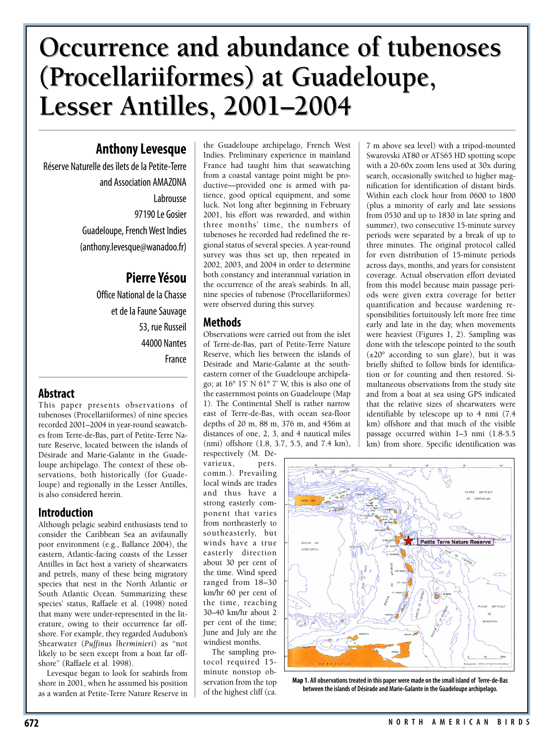# **Occurrence and abundance of tubenoses Occurrence and abundance of tubenoses (Procellariiformes) at Guadeloupe, (Procellariiformes) at Guadeloupe, Lesser Antilles, 2001–2004 Lesser Antilles, 2001–2004**

## **Anthony Levesque**

Réserve Naturelle des îlets de la Petite-Terre and Association AMAZONA Labrousse 97190 Le Gosier Guadeloupe, French West Indies (anthony.levesque@wanadoo.fr)

# **Pierre Yésou**

Office National de la Chasse et de la Faune Sauvage 53, rue Russeil 44000 Nantes France

## **Abstract**

This paper presents observations of tubenoses (Procellariiformes) of nine species recorded 2001–2004 in year-round seawatches from Terre-de-Bas, part of Petite-Terre Nature Reserve, located between the islands of Désirade and Marie-Galante in the Guadeloupe archipelago. The context of these observations, both historically (for Guadeloupe) and regionally in the Lesser Antilles, is also considered herein.

## **Introduction**

Although pelagic seabird enthusiasts tend to consider the Caribbean Sea an avifaunally poor environment (e.g., Ballance 2004), the eastern, Atlantic-facing coasts of the Lesser Antilles in fact host a variety of shearwaters and petrels, many of these being migratory species that nest in the North Atlantic or South Atlantic Ocean. Summarizing these species' status, Raffaele et al. (1998) noted that many were under-represented in the literature, owing to their occurrence far offshore. For example, they regarded Audubon's Shearwater (*Puffinus lherminieri*) as "not likely to be seen except from a boat far offshore" (Raffaele et al. 1998).

Levesque began to look for seabirds from shore in 2001, when he assumed his position as a warden at Petite-Terre Nature Reserve in the Guadeloupe archipelago, French West Indies. Preliminary experience in mainland France had taught him that seawatching from a coastal vantage point might be productive—provided one is armed with patience, good optical equipment, and some luck. Not long after beginning in February 2001, his effort was rewarded, and within three months' time, the numbers of tubenoses he recorded had redefined the regional status of several species. A year-round survey was thus set up, then repeated in 2002, 2003, and 2004 in order to determine both constancy and interannual variation in the occurrence of the area's seabirds. In all, nine species of tubenose (Procellariiformes) were observed during this survey.

## **Methods**

Observations were carried out from the islet of Terre-de-Bas, part of Petite-Terre Nature Reserve, which lies between the islands of Désirade and Marie-Galante at the southeastern corner of the Guadeloupe archipelago; at 16° 15' N 61° 7' W, this is also one of the easternmost points on Guadeloupe (Map 1). The Continental Shelf is rather narrow east of Terre-de-Bas, with ocean sea-floor depths of 20 m, 88 m, 376 m, and 456m at distances of one, 2, 3, and 4 nautical miles (nmi) offshore (1.8, 3.7, 5.5, and 7.4 km),

respectively (M. Dévarieux, pers. comm.). Prevailing local winds are trades and thus have a strong easterly component that varies from northeasterly to southeasterly, but winds have a true easterly direction about 30 per cent of the time. Wind speed ranged from 18–30 km/hr 60 per cent of the time, reaching 30–40 km/hr about 2 per cent of the time; June and July are the windiest months.

The sampling protocol required 15 minute nonstop observation from the top of the highest cliff (ca.

7 m above sea level) with a tripod-mounted Swarovski AT80 or ATS65 HD spotting scope with a 20-60x zoom lens used at 30x during search, occasionally switched to higher magnification for identification of distant birds. Within each clock hour from 0600 to 1800 (plus a minority of early and late sessions from 0530 and up to 1830 in late spring and summer), two consecutive 15-minute survey periods were separated by a break of up to three minutes. The original protocol called for even distribution of 15-minute periods across days, months, and years for consistent coverage. Actual observation effort deviated from this model because main passage periods were given extra coverage for better quantification and because wardening responsibilities fortuitously left more free time early and late in the day, when movements were heaviest (Figures 1, 2). Sampling was done with the telescope pointed to the south  $(\pm 20^{\circ}$  according to sun glare), but it was briefly shifted to follow birds for identification or for counting and then restored. Simultaneous observations from the study site and from a boat at sea using GPS indicated that the relative sizes of shearwaters were identifiable by telescope up to 4 nmi (7.4 km) offshore and that much of the visible passage occurred within 1–3 nmi (1.8-5.5 km) from shore. Specific identification was



**Map 1. All observations treated in this paper were made on the small island of Terre-de-Bas between the islands of Désirade and Marie-Galante in the Guadeloupe archipelago.**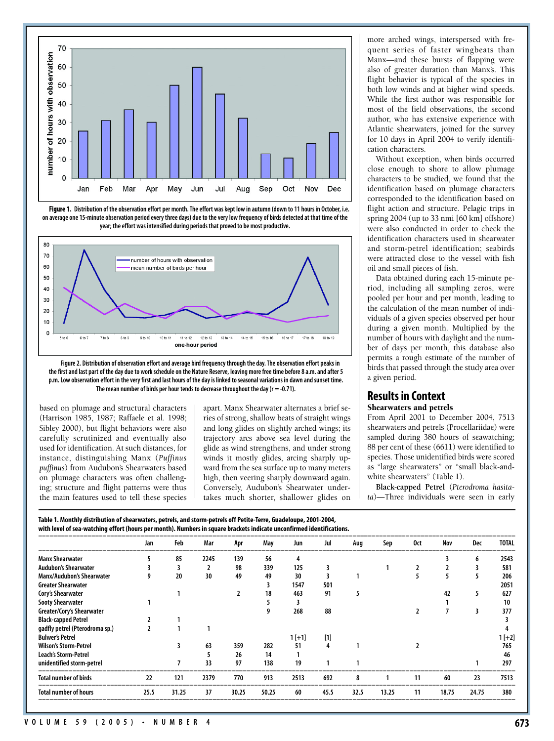

**Figure 1. Distribution of the observation effort per month. The effort was kept low in autumn (down to 11 hours in October, i.e. on average one 15-minute observation period every three days) due to the very low frequency of birds detected at that time of the year; the effort was intensified during periods that proved to be most productive.**





based on plumage and structural characters (Harrison 1985, 1987; Raffaele et al. 1998; Sibley 2000), but flight behaviors were also carefully scrutinized and eventually also used for identification. At such distances, for instance, distinguishing Manx (*Puffinus puffinus*) from Audubon's Shearwaters based on plumage characters was often challenging; structure and flight patterns were thus the main features used to tell these species apart. Manx Shearwater alternates a brief series of strong, shallow beats of straight wings and long glides on slightly arched wings; its trajectory arcs above sea level during the glide as wind strengthens, and under strong winds it mostly glides, arcing sharply upward from the sea surface up to many meters high, then veering sharply downward again. Conversely, Audubon's Shearwater undertakes much shorter, shallower glides on

more arched wings, interspersed with frequent series of faster wingbeats than Manx—and these bursts of flapping were also of greater duration than Manx's. This flight behavior is typical of the species in both low winds and at higher wind speeds. While the first author was responsible for most of the field observations, the second author, who has extensive experience with Atlantic shearwaters, joined for the survey for 10 days in April 2004 to verify identification characters.

Without exception, when birds occurred close enough to shore to allow plumage characters to be studied, we found that the identification based on plumage characters corresponded to the identification based on flight action and structure. Pelagic trips in spring 2004 (up to 33 nmi [60 km] offshore) were also conducted in order to check the identification characters used in shearwater and storm-petrel identification; seabirds were attracted close to the vessel with fish oil and small pieces of fish.

Data obtained during each 15-minute period, including all sampling zeros, were pooled per hour and per month, leading to the calculation of the mean number of individuals of a given species observed per hour during a given month. Multiplied by the number of hours with daylight and the number of days per month, this database also permits a rough estimate of the number of birds that passed through the study area over a given period.

#### **Results in Context Shearwaters and petrels**

From April 2001 to December 2004, 7513 shearwaters and petrels (Procellariidae) were sampled during 380 hours of seawatching; 88 per cent of these (6611) were identified to species. Those unidentified birds were scored as "large shearwaters" or "small black-andwhite shearwaters" (Table 1).

**Black-capped Petrel** (*Pterodroma hasitata*)—Three individuals were seen in early

**Table 1. Monthly distribution of shearwaters, petrels, and storm-petrels off Petite-Terre, Guadeloupe, 2001-2004, with level of sea-watching effort (hours per month). Numbers in square brackets indicate unconfirmed identifications.**

|                                  | Jan  | Feb   | Mar  | Apr   | May   | Jun     | Jul   | Aug  | Sep   | 0ct | Nov   | Dec   | <b>TOTAL</b> |
|----------------------------------|------|-------|------|-------|-------|---------|-------|------|-------|-----|-------|-------|--------------|
| <b>Manx Shearwater</b>           |      | 85    | 2245 | 139   | 56    | 4       |       |      |       |     |       | 6     | 2543         |
| <b>Audubon's Shearwater</b>      |      |       |      | 98    | 339   | 125     |       |      |       |     |       |       | 581          |
| <b>Manx/Audubon's Shearwater</b> |      | 20    | 30   | 49    | 49    | 30      |       |      |       |     |       |       | 206          |
| <b>Greater Shearwater</b>        |      |       |      |       |       | 1547    | 501   |      |       |     |       |       | 2051         |
| Cory's Shearwater                |      |       |      |       | 18    | 463     | 91    |      |       |     | 42    | 5     | 627          |
| <b>Sooty Shearwater</b>          |      |       |      |       |       |         |       |      |       |     |       |       | 10           |
| Greater/Cory's Shearwater        |      |       |      |       |       | 268     | 88    |      |       |     |       | 3     | 377          |
| <b>Black-capped Petrel</b>       |      |       |      |       |       |         |       |      |       |     |       |       |              |
| gadfly petrel (Pterodroma sp.)   |      |       |      |       |       |         |       |      |       |     |       |       |              |
| <b>Bulwer's Petrel</b>           |      |       |      |       |       | $1[+1]$ | $[1]$ |      |       |     |       |       | $1[+2]$      |
| <b>Wilson's Storm-Petrel</b>     |      |       | 63   | 359   | 282   | 51      |       |      |       |     |       |       | 765          |
| Leach's Storm-Petrel             |      |       |      | 26    | 14    |         |       |      |       |     |       |       | 46           |
| unidentified storm-petrel        |      |       | 33   | 97    | 138   | 19      |       |      |       |     |       |       | 297          |
| <b>Total number of birds</b>     | 22   | 121   | 2379 | 770   | 913   | 2513    | 692   | 8    |       | 11  | 60    | 23    | 7513         |
| <b>Total number of hours</b>     | 25.5 | 31.25 | 37   | 30.25 | 50.25 | 60      | 45.5  | 32.5 | 13.25 | 11  | 18.75 | 24.75 | 380          |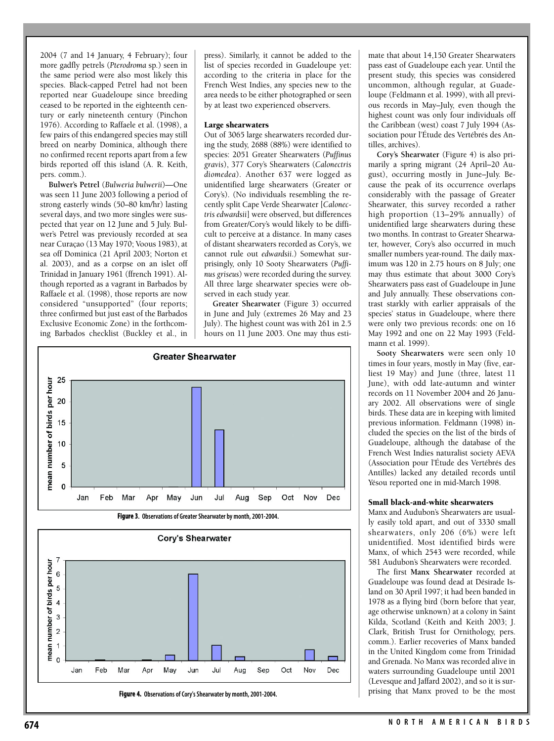2004 (7 and 14 January, 4 February); four more gadfly petrels (*Pterodroma* sp*.*) seen in the same period were also most likely this species. Black-capped Petrel had not been reported near Guadeloupe since breeding ceased to be reported in the eighteenth century or early nineteenth century (Pinchon 1976). According to Raffaele et al. (1998), a few pairs of this endangered species may still breed on nearby Dominica, although there no confirmed recent reports apart from a few birds reported off this island (A. R. Keith, pers. comm.).

**Bulwer's Petrel** (*Bulweria bulwerii*)—One was seen 11 June 2003 following a period of strong easterly winds (50–80 km/hr) lasting several days, and two more singles were suspected that year on 12 June and 5 July. Bulwer's Petrel was previously recorded at sea near Curaçao (13 May 1970; Voous 1983), at sea off Dominica (21 April 2003; Norton et al. 2003), and as a corpse on an islet off Trinidad in January 1961 (ffrench 1991). Although reported as a vagrant in Barbados by Raffaele et al. (1998), those reports are now considered "unsupported" (four reports; three confirmed but just east of the Barbados Exclusive Economic Zone) in the forthcoming Barbados checklist (Buckley et al., in

press). Similarly, it cannot be added to the list of species recorded in Guadeloupe yet: according to the criteria in place for the French West Indies, any species new to the area needs to be either photographed or seen by at least two experienced observers.

#### **Large shearwaters**

Out of 3065 large shearwaters recorded during the study, 2688 (88%) were identified to species: 2051 Greater Shearwaters (*Puffinus gravis*), 377 Cory's Shearwaters (*Calonectris diomedea*). Another 637 were logged as unidentified large shearwaters (Greater or Cory's). (No individuals resembling the recently split Cape Verde Shearwater [*Calonectris edwardsii*] were observed, but differences from Greater/Cory's would likely to be difficult to perceive at a distance. In many cases of distant shearwaters recorded as Cory's, we cannot rule out *edwardsii*.) Somewhat surprisingly, only 10 Sooty Shearwaters (*Puffinus griseus*) were recorded during the survey. All three large shearwater species were observed in each study year.

**Greater Shearwater** (Figure 3) occurred in June and July (extremes 26 May and 23 July). The highest count was with 261 in 2.5 hours on 11 June 2003. One may thus esti-





mate that about 14,150 Greater Shearwaters pass east of Guadeloupe each year. Until the present study, this species was considered uncommon, although regular, at Guadeloupe (Feldmann et al. 1999), with all previous records in May–July, even though the highest count was only four individuals off the Caribbean (west) coast 7 July 1994 (Association pour l'Étude des Vertébrés des Antilles, archives).

**Cory's Shearwater** (Figure 4) is also primarily a spring migrant (24 April–20 August), occurring mostly in June–July. Because the peak of its occurrence overlaps considerably with the passage of Greater Shearwater, this survey recorded a rather high proportion (13–29% annually) of unidentified large shearwaters during these two months. In contrast to Greater Shearwater, however, Cory's also occurred in much smaller numbers year-round. The daily maximum was 120 in 2.75 hours on 8 July; one may thus estimate that about 3000 Cory's Shearwaters pass east of Guadeloupe in June and July annually. These observations contrast starkly with earlier appraisals of the species' status in Guadeloupe, where there were only two previous records: one on 16 May 1992 and one on 22 May 1993 (Feldmann et al. 1999).

**Sooty Shearwaters** were seen only 10 times in four years, mostly in May (five, earliest 19 May) and June (three, latest 11 June), with odd late-autumn and winter records on 11 November 2004 and 26 January 2002. All observations were of single birds. These data are in keeping with limited previous information. Feldmann (1998) included the species on the list of the birds of Guadeloupe, although the database of the French West Indies naturalist society AEVA (Association pour l'Étude des Vertébrés des Antilles) lacked any detailed records until Yésou reported one in mid-March 1998.

#### **Small black-and-white shearwaters**

Manx and Audubon's Shearwaters are usually easily told apart, and out of 3330 small shearwaters, only 206 (6%) were left unidentified. Most identified birds were Manx, of which 2543 were recorded, while 581 Audubon's Shearwaters were recorded.

The first **Manx Shearwater** recorded at Guadeloupe was found dead at Désirade Island on 30 April 1997; it had been banded in 1978 as a flying bird (born before that year, age otherwise unknown) at a colony in Saint Kilda, Scotland (Keith and Keith 2003; J. Clark, British Trust for Ornithology, pers. comm.). Earlier recoveries of Manx banded in the United Kingdom come from Trinidad and Grenada. No Manx was recorded alive in waters surrounding Guadeloupe until 2001 (Levesque and Jaffard 2002), and so it is surprising that Manx proved to be the most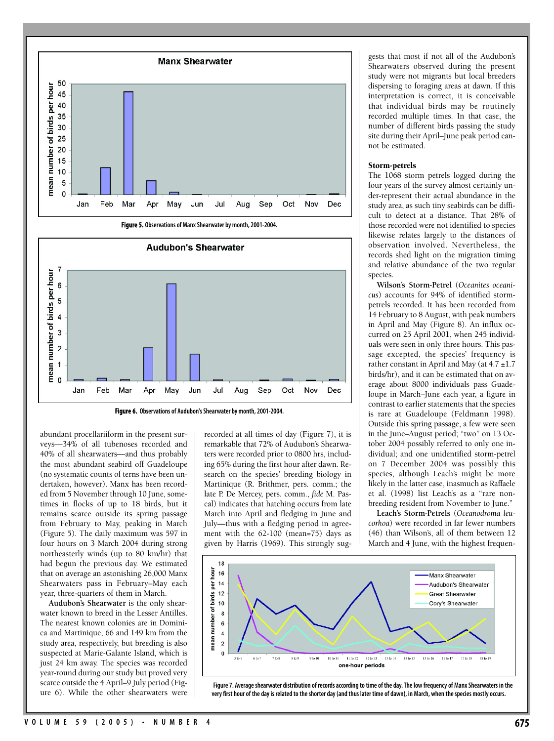



**Figure 6. Observations of Audubon's Shearwater by month, 2001-2004.**

abundant procellariiform in the present surveys—34% of all tubenoses recorded and 40% of all shearwaters—and thus probably the most abundant seabird off Guadeloupe (no systematic counts of terns have been undertaken, however). Manx has been recorded from 5 November through 10 June, sometimes in flocks of up to 18 birds, but it remains scarce outside its spring passage from February to May, peaking in March (Figure 5). The daily maximum was 597 in four hours on 3 March 2004 during strong northeasterly winds (up to 80 km/hr) that had begun the previous day. We estimated that on average an astonishing 26,000 Manx Shearwaters pass in February–May each year, three-quarters of them in March.

**Audubon's Shearwater** is the only shearwater known to breed in the Lesser Antilles. The nearest known colonies are in Dominica and Martinique, 66 and 149 km from the study area, respectively, but breeding is also suspected at Marie-Galante Island, which is just 24 km away. The species was recorded year-round during our study but proved very scarce outside the 4 April–9 July period (Figure 6). While the other shearwaters were

recorded at all times of day (Figure 7), it is remarkable that 72% of Audubon's Shearwaters were recorded prior to 0800 hrs, including 65% during the first hour after dawn. Research on the species' breeding biology in Martinique (R. Brithmer, pers. comm.; the late P. De Mercey, pers. comm., *fide* M. Pascal) indicates that hatching occurs from late March into April and fledging in June and July—thus with a fledging period in agreement with the 62-100 (mean=75) days as given by Harris (1969). This strongly sug-

gests that most if not all of the Audubon's Shearwaters observed during the present study were not migrants but local breeders dispersing to foraging areas at dawn. If this interpretation is correct, it is conceivable that individual birds may be routinely recorded multiple times. In that case, the number of different birds passing the study site during their April–June peak period cannot be estimated.

#### **Storm-petrels**

The 1068 storm petrels logged during the four years of the survey almost certainly under-represent their actual abundance in the study area, as such tiny seabirds can be difficult to detect at a distance. That 28% of those recorded were not identified to species likewise relates largely to the distances of observation involved. Nevertheless, the records shed light on the migration timing and relative abundance of the two regular species.

**Wilson's Storm-Petrel** (*Oceanites oceanicus*) accounts for 94% of identified stormpetrels recorded. It has been recorded from 14 February to 8 August, with peak numbers in April and May (Figure 8). An influx occurred on 25 April 2001, when 245 individuals were seen in only three hours. This passage excepted, the species' frequency is rather constant in April and May (at 4.7 ±1.7 birds/hr), and it can be estimated that on average about 8000 individuals pass Guadeloupe in March–June each year, a figure in contrast to earlier statements that the species is rare at Guadeloupe (Feldmann 1998). Outside this spring passage, a few were seen in the June–August period; "two" on 13 October 2004 possibly referred to only one individual; and one unidentified storm-petrel on 7 December 2004 was possibly this species, although Leach's might be more likely in the latter case, inasmuch as Raffaele et al. (1998) list Leach's as a "rare nonbreeding resident from November to June."

**Leach's Storm-Petrels** (*Oceanodroma leucorhoa*) were recorded in far fewer numbers (46) than Wilson's, all of them between 12 March and 4 June, with the highest frequen-



**Figure 7. Average shearwater distribution of records according to time of the day. The low frequency of Manx Shearwaters in the very first hour of the day is related to the shorter day (and thus later time of dawn), in March, when the species mostly occurs.**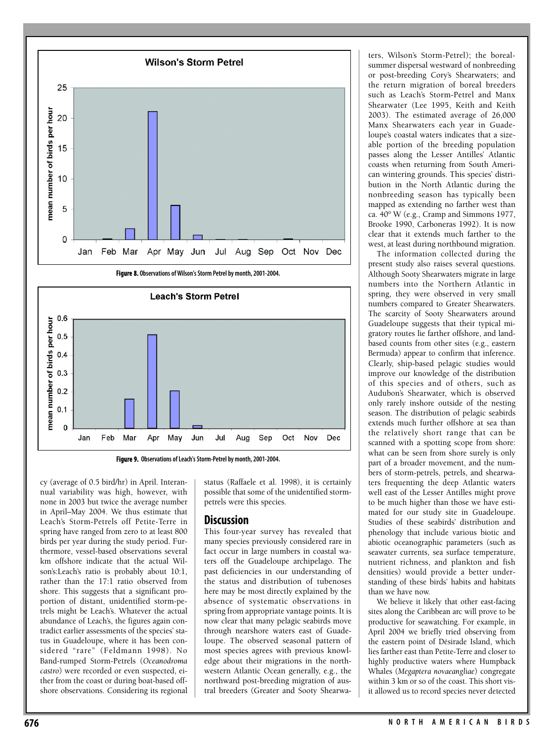



**Figure 9. Observations of Leach's Storm-Petrel by month, 2001-2004.**

cy (average of 0.5 bird/hr) in April. Interannual variability was high, however, with none in 2003 but twice the average number in April–May 2004. We thus estimate that Leach's Storm-Petrels off Petite-Terre in spring have ranged from zero to at least 800 birds per year during the study period. Furthermore, vessel-based observations several km offshore indicate that the actual Wilson's:Leach's ratio is probably about 10:1, rather than the 17:1 ratio observed from shore. This suggests that a significant proportion of distant, unidentified storm-petrels might be Leach's. Whatever the actual abundance of Leach's, the figures again contradict earlier assessments of the species' status in Guadeloupe, where it has been considered "rare" (Feldmann 1998). No Band-rumped Storm-Petrels (*Oceanodroma castro*) were recorded or even suspected, either from the coast or during boat-based offshore observations. Considering its regional

status (Raffaele et al. 1998), it is certainly possible that some of the unidentified stormpetrels were this species.

### **Discussion**

This four-year survey has revealed that many species previously considered rare in fact occur in large numbers in coastal waters off the Guadeloupe archipelago. The past deficiencies in our understanding of the status and distribution of tubenoses here may be most directly explained by the absence of systematic observations in spring from appropriate vantage points. It is now clear that many pelagic seabirds move through nearshore waters east of Guadeloupe. The observed seasonal pattern of most species agrees with previous knowledge about their migrations in the northwestern Atlantic Ocean generally, e.g., the northward post-breeding migration of austral breeders (Greater and Sooty Shearwa-

ters, Wilson's Storm-Petrel); the borealsummer dispersal westward of nonbreeding or post-breeding Cory's Shearwaters; and the return migration of boreal breeders such as Leach's Storm-Petrel and Manx Shearwater (Lee 1995, Keith and Keith 2003). The estimated average of 26,000 Manx Shearwaters each year in Guadeloupe's coastal waters indicates that a sizeable portion of the breeding population passes along the Lesser Antilles' Atlantic coasts when returning from South American wintering grounds. This species' distribution in the North Atlantic during the nonbreeding season has typically been mapped as extending no farther west than ca. 40° W (e.g., Cramp and Simmons 1977, Brooke 1990, Carboneras 1992). It is now clear that it extends much farther to the west, at least during northbound migration.

The information collected during the present study also raises several questions. Although Sooty Shearwaters migrate in large numbers into the Northern Atlantic in spring, they were observed in very small numbers compared to Greater Shearwaters. The scarcity of Sooty Shearwaters around Guadeloupe suggests that their typical migratory routes lie farther offshore, and landbased counts from other sites (e.g., eastern Bermuda) appear to confirm that inference. Clearly, ship-based pelagic studies would improve our knowledge of the distribution of this species and of others, such as Audubon's Shearwater, which is observed only rarely inshore outside of the nesting season. The distribution of pelagic seabirds extends much further offshore at sea than the relatively short range that can be scanned with a spotting scope from shore: what can be seen from shore surely is only part of a broader movement, and the numbers of storm-petrels, petrels, and shearwaters frequenting the deep Atlantic waters well east of the Lesser Antilles might prove to be much higher than those we have estimated for our study site in Guadeloupe. Studies of these seabirds' distribution and phenology that include various biotic and abiotic oceanographic parameters (such as seawater currents, sea surface temperature, nutrient richness, and plankton and fish densities) would provide a better understanding of these birds' habits and habitats than we have now.

We believe it likely that other east-facing sites along the Caribbean arc will prove to be productive for seawatching. For example, in April 2004 we briefly tried observing from the eastern point of Désirade Island, which lies farther east than Petite-Terre and closer to highly productive waters where Humpback Whales (*Megaptera novaeangliae*) congregate within 3 km or so of the coast. This short visit allowed us to record species never detected